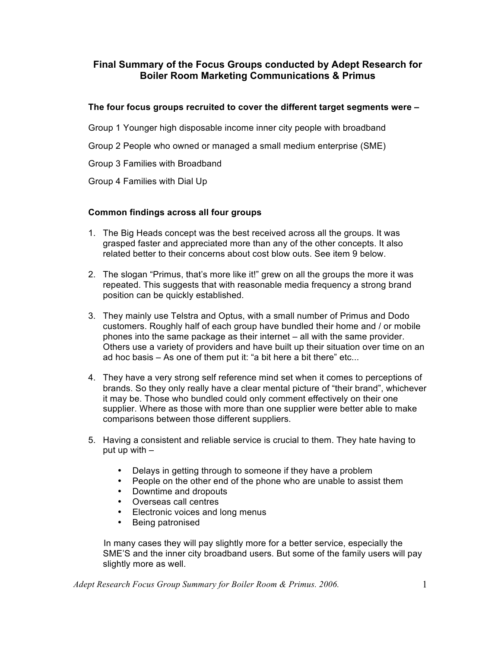# **Final Summary of the Focus Groups conducted by Adept Research for Boiler Room Marketing Communications & Primus**

# **The four focus groups recruited to cover the different target segments were –**

Group 1 Younger high disposable income inner city people with broadband

Group 2 People who owned or managed a small medium enterprise (SME)

Group 3 Families with Broadband

Group 4 Families with Dial Up

### **Common findings across all four groups**

- 1. The Big Heads concept was the best received across all the groups. It was grasped faster and appreciated more than any of the other concepts. It also related better to their concerns about cost blow outs. See item 9 below.
- 2. The slogan "Primus, that's more like it!" grew on all the groups the more it was repeated. This suggests that with reasonable media frequency a strong brand position can be quickly established.
- 3. They mainly use Telstra and Optus, with a small number of Primus and Dodo customers. Roughly half of each group have bundled their home and / or mobile phones into the same package as their internet – all with the same provider. Others use a variety of providers and have built up their situation over time on an ad hoc basis – As one of them put it: "a bit here a bit there" etc...
- 4. They have a very strong self reference mind set when it comes to perceptions of brands. So they only really have a clear mental picture of "their brand", whichever it may be. Those who bundled could only comment effectively on their one supplier. Where as those with more than one supplier were better able to make comparisons between those different suppliers.
- 5. Having a consistent and reliable service is crucial to them. They hate having to put up with –
	- Delays in getting through to someone if they have a problem
	- People on the other end of the phone who are unable to assist them
	- Downtime and dropouts
	- Overseas call centres
	- Electronic voices and long menus
	- Being patronised

In many cases they will pay slightly more for a better service, especially the SME'S and the inner city broadband users. But some of the family users will pay slightly more as well.

*Adept Research Focus Group Summary for Boiler Room & Primus. 2006.* 1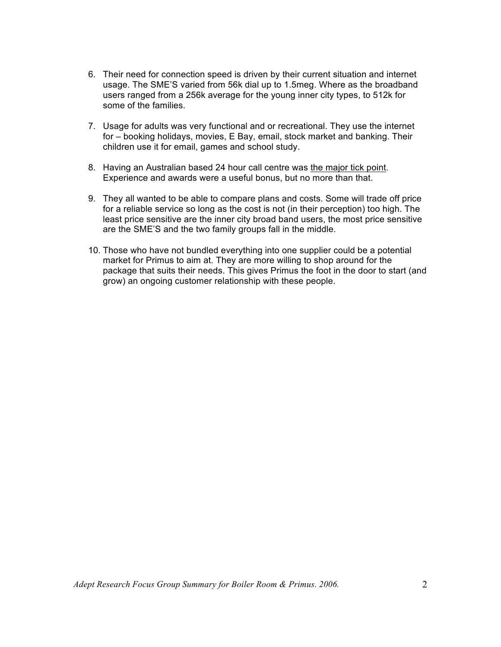- 6. Their need for connection speed is driven by their current situation and internet usage. The SME'S varied from 56k dial up to 1.5meg. Where as the broadband users ranged from a 256k average for the young inner city types, to 512k for some of the families.
- 7. Usage for adults was very functional and or recreational. They use the internet for – booking holidays, movies, E Bay, email, stock market and banking. Their children use it for email, games and school study.
- 8. Having an Australian based 24 hour call centre was the major tick point. Experience and awards were a useful bonus, but no more than that.
- 9. They all wanted to be able to compare plans and costs. Some will trade off price for a reliable service so long as the cost is not (in their perception) too high. The least price sensitive are the inner city broad band users, the most price sensitive are the SME'S and the two family groups fall in the middle.
- 10. Those who have not bundled everything into one supplier could be a potential market for Primus to aim at. They are more willing to shop around for the package that suits their needs. This gives Primus the foot in the door to start (and grow) an ongoing customer relationship with these people.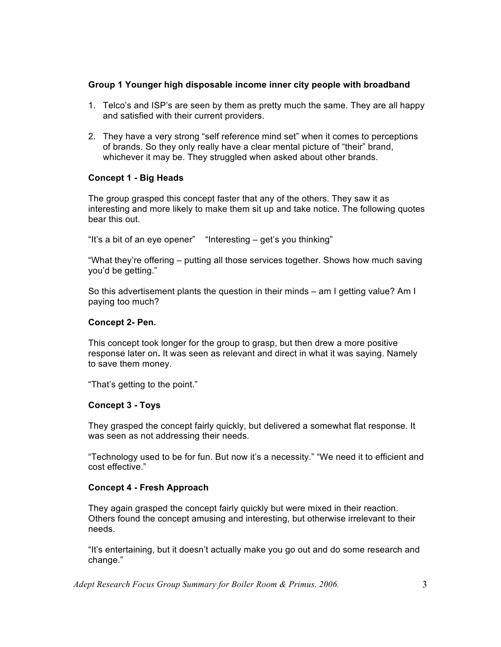### **Group 1 Younger high disposable income inner city people with broadband**

- 1. Telco's and ISP's are seen by them as pretty much the same. They are all happy and satisfied with their current providers.
- 2. They have a very strong "self reference mind set" when it comes to perceptions of brands. So they only really have a clear mental picture of "their" brand, whichever it may be. They struggled when asked about other brands.

### **Concept 1 - Big Heads**

The group grasped this concept faster that any of the others. They saw it as interesting and more likely to make them sit up and take notice. The following quotes bear this out.

"It's a bit of an eye opener" "Interesting – get's you thinking"

"What they're offering – putting all those services together. Shows how much saving you'd be getting."

So this advertisement plants the question in their minds – am I getting value? Am I paying too much?

#### **Concept 2- Pen.**

This concept took longer for the group to grasp, but then drew a more positive response later on**.** It was seen as relevant and direct in what it was saying. Namely to save them money.

"That's getting to the point."

#### **Concept 3 - Toys**

They grasped the concept fairly quickly, but delivered a somewhat flat response. It was seen as not addressing their needs.

"Technology used to be for fun. But now it's a necessity." "We need it to efficient and cost effective."

#### **Concept 4 - Fresh Approach**

They again grasped the concept fairly quickly but were mixed in their reaction. Others found the concept amusing and interesting, but otherwise irrelevant to their needs.

"It's entertaining, but it doesn't actually make you go out and do some research and change."

*Adept Research Focus Group Summary for Boiler Room & Primus. 2006.* 3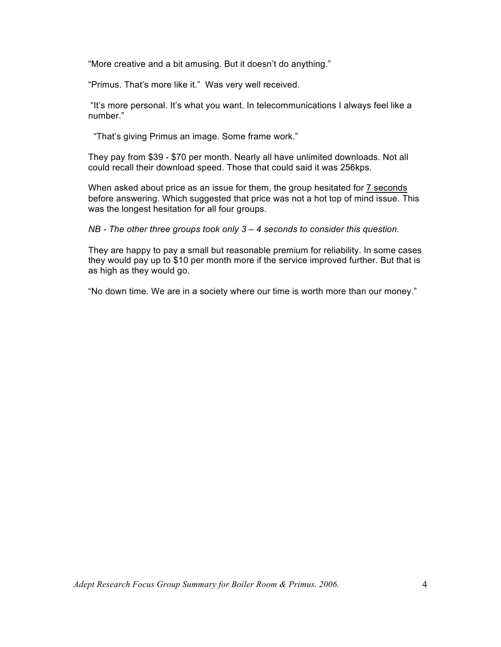"More creative and a bit amusing. But it doesn't do anything."

"Primus. That's more like it." Was very well received.

"It's more personal. It's what you want. In telecommunications I always feel like a number."

"That's giving Primus an image. Some frame work."

They pay from \$39 - \$70 per month. Nearly all have unlimited downloads. Not all could recall their download speed. Those that could said it was 256kps.

When asked about price as an issue for them, the group hesitated for 7 seconds before answering. Which suggested that price was not a hot top of mind issue. This was the longest hesitation for all four groups.

*NB - The other three groups took only 3 – 4 seconds to consider this question.*

They are happy to pay a small but reasonable premium for reliability. In some cases they would pay up to \$10 per month more if the service improved further. But that is as high as they would go.

"No down time. We are in a society where our time is worth more than our money."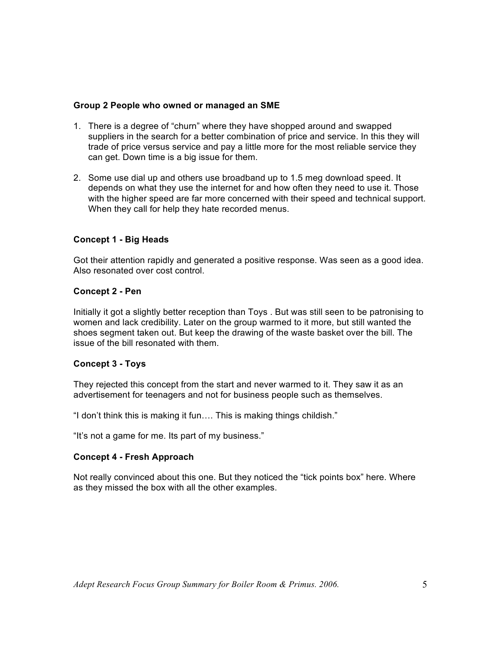#### **Group 2 People who owned or managed an SME**

- 1. There is a degree of "churn" where they have shopped around and swapped suppliers in the search for a better combination of price and service. In this they will trade of price versus service and pay a little more for the most reliable service they can get. Down time is a big issue for them.
- 2. Some use dial up and others use broadband up to 1.5 meg download speed. It depends on what they use the internet for and how often they need to use it. Those with the higher speed are far more concerned with their speed and technical support. When they call for help they hate recorded menus.

# **Concept 1 - Big Heads**

Got their attention rapidly and generated a positive response. Was seen as a good idea. Also resonated over cost control.

#### **Concept 2 - Pen**

Initially it got a slightly better reception than Toys . But was still seen to be patronising to women and lack credibility. Later on the group warmed to it more, but still wanted the shoes segment taken out. But keep the drawing of the waste basket over the bill. The issue of the bill resonated with them.

# **Concept 3 - Toys**

They rejected this concept from the start and never warmed to it. They saw it as an advertisement for teenagers and not for business people such as themselves.

"I don't think this is making it fun…. This is making things childish."

"It's not a game for me. Its part of my business."

#### **Concept 4 - Fresh Approach**

Not really convinced about this one. But they noticed the "tick points box" here. Where as they missed the box with all the other examples.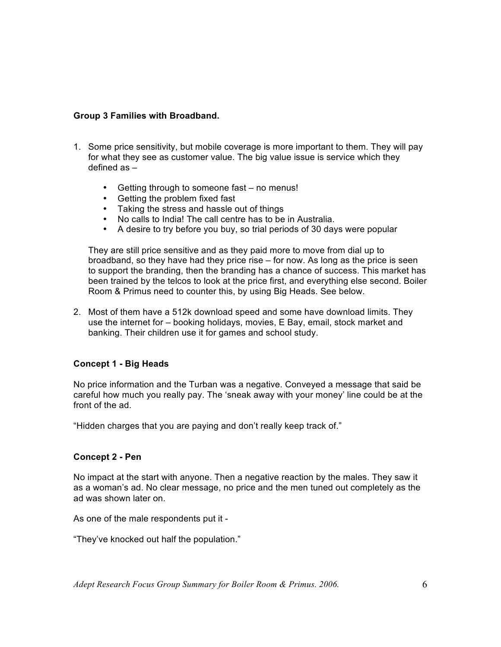### **Group 3 Families with Broadband.**

- 1. Some price sensitivity, but mobile coverage is more important to them. They will pay for what they see as customer value. The big value issue is service which they defined as –
	- Getting through to someone fast no menus!
	- Getting the problem fixed fast
	- Taking the stress and hassle out of things
	- No calls to India! The call centre has to be in Australia.<br>• A desire to try before you buy, so trial periods of 30 day
	- A desire to try before you buy, so trial periods of 30 days were popular

They are still price sensitive and as they paid more to move from dial up to broadband, so they have had they price rise – for now. As long as the price is seen to support the branding, then the branding has a chance of success. This market has been trained by the telcos to look at the price first, and everything else second. Boiler Room & Primus need to counter this, by using Big Heads. See below.

2. Most of them have a 512k download speed and some have download limits. They use the internet for – booking holidays, movies, E Bay, email, stock market and banking. Their children use it for games and school study.

# **Concept 1 - Big Heads**

No price information and the Turban was a negative. Conveyed a message that said be careful how much you really pay. The 'sneak away with your money' line could be at the front of the ad.

"Hidden charges that you are paying and don't really keep track of."

#### **Concept 2 - Pen**

No impact at the start with anyone. Then a negative reaction by the males. They saw it as a woman's ad. No clear message, no price and the men tuned out completely as the ad was shown later on.

As one of the male respondents put it -

"They've knocked out half the population."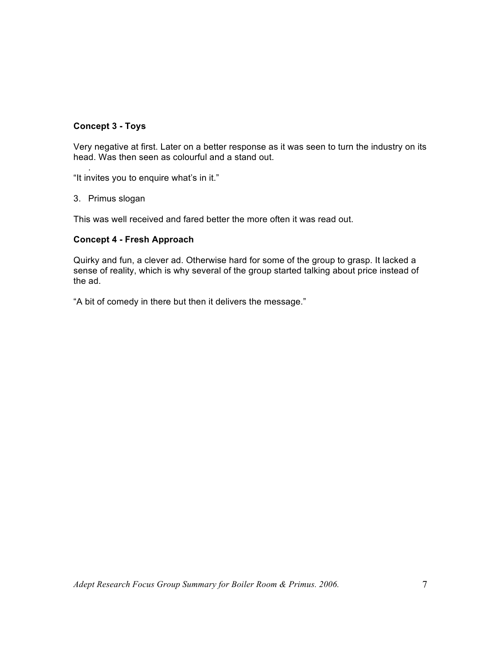# **Concept 3 - Toys**

Very negative at first. Later on a better response as it was seen to turn the industry on its head. Was then seen as colourful and a stand out.

. "It invites you to enquire what's in it."

3. Primus slogan

This was well received and fared better the more often it was read out.

### **Concept 4 - Fresh Approach**

Quirky and fun, a clever ad. Otherwise hard for some of the group to grasp. It lacked a sense of reality, which is why several of the group started talking about price instead of the ad.

"A bit of comedy in there but then it delivers the message."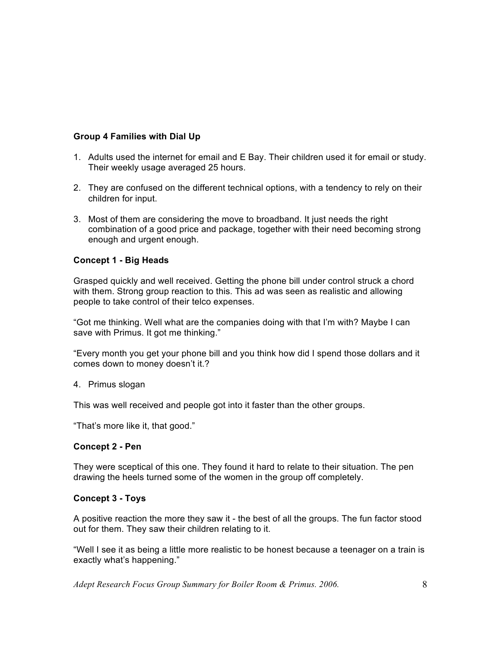# **Group 4 Families with Dial Up**

- 1. Adults used the internet for email and E Bay. Their children used it for email or study. Their weekly usage averaged 25 hours.
- 2. They are confused on the different technical options, with a tendency to rely on their children for input.
- 3. Most of them are considering the move to broadband. It just needs the right combination of a good price and package, together with their need becoming strong enough and urgent enough.

# **Concept 1 - Big Heads**

Grasped quickly and well received. Getting the phone bill under control struck a chord with them. Strong group reaction to this. This ad was seen as realistic and allowing people to take control of their telco expenses.

"Got me thinking. Well what are the companies doing with that I'm with? Maybe I can save with Primus. It got me thinking."

"Every month you get your phone bill and you think how did I spend those dollars and it comes down to money doesn't it.?

4. Primus slogan

This was well received and people got into it faster than the other groups.

"That's more like it, that good."

# **Concept 2 - Pen**

They were sceptical of this one. They found it hard to relate to their situation. The pen drawing the heels turned some of the women in the group off completely.

# **Concept 3 - Toys**

A positive reaction the more they saw it - the best of all the groups. The fun factor stood out for them. They saw their children relating to it.

"Well I see it as being a little more realistic to be honest because a teenager on a train is exactly what's happening."

*Adept Research Focus Group Summary for Boiler Room & Primus. 2006.* 8